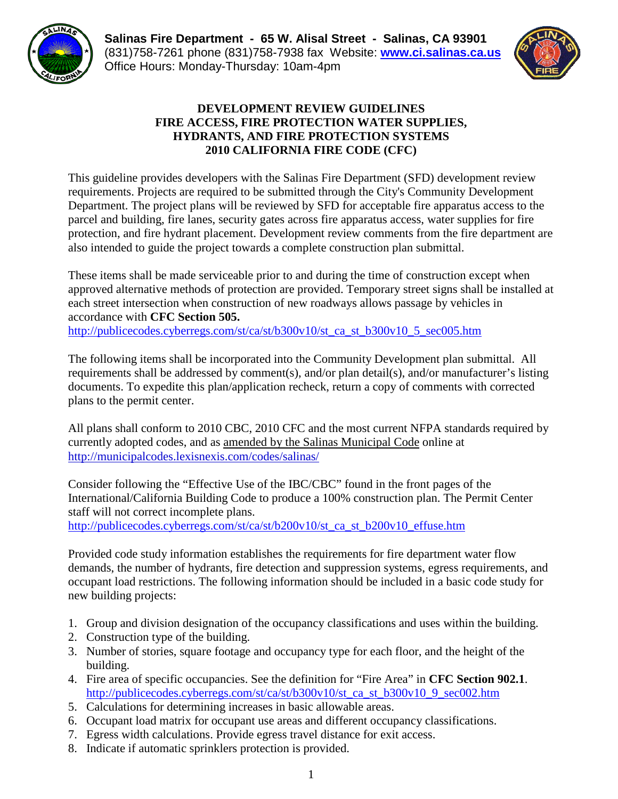

**Salinas Fire Department - 65 W. Alisal Street - Salinas, CA 93901** (831)758-7261 phone (831)758-7938 fax Website: **[www.ci.salinas.ca.us](http://www.ci.salinas.ca.us/index.cfm)** Office Hours: Monday-Thursday: 10am-4pm



#### **DEVELOPMENT REVIEW GUIDELINES FIRE ACCESS, FIRE PROTECTION WATER SUPPLIES, HYDRANTS, AND FIRE PROTECTION SYSTEMS 2010 CALIFORNIA FIRE CODE (CFC)**

This guideline provides developers with the Salinas Fire Department (SFD) development review requirements. Projects are required to be submitted through the City's Community Development Department. The project plans will be reviewed by SFD for acceptable fire apparatus access to the parcel and building, fire lanes, security gates across fire apparatus access, water supplies for fire protection, and fire hydrant placement. Development review comments from the fire department are also intended to guide the project towards a complete construction plan submittal.

These items shall be made serviceable prior to and during the time of construction except when approved alternative methods of protection are provided. Temporary street signs shall be installed at each street intersection when construction of new roadways allows passage by vehicles in accordance with **CFC Section 505.**

[http://publicecodes.cyberregs.com/st/ca/st/b300v10/st\\_ca\\_st\\_b300v10\\_5\\_sec005.htm](http://publicecodes.cyberregs.com/st/ca/st/b300v10/st_ca_st_b300v10_5_sec005.htm)

The following items shall be incorporated into the Community Development plan submittal. All requirements shall be addressed by comment(s), and/or plan detail(s), and/or manufacturer's listing documents. To expedite this plan/application recheck, return a copy of comments with corrected plans to the permit center.

All plans shall conform to 2010 CBC, 2010 CFC and the most current NFPA standards required by currently adopted codes, and as amended by the Salinas Municipal Code online at <http://municipalcodes.lexisnexis.com/codes/salinas/>

Consider following the "Effective Use of the IBC/CBC" found in the front pages of the International/California Building Code to produce a 100% construction plan. The Permit Center staff will not correct incomplete plans.

[http://publicecodes.cyberregs.com/st/ca/st/b200v10/st\\_ca\\_st\\_b200v10\\_effuse.htm](http://publicecodes.cyberregs.com/st/ca/st/b200v10/st_ca_st_b200v10_effuse.htm)

Provided code study information establishes the requirements for fire department water flow demands, the number of hydrants, fire detection and suppression systems, egress requirements, and occupant load restrictions. The following information should be included in a basic code study for new building projects:

- 1. Group and division designation of the occupancy classifications and uses within the building.
- 2. Construction type of the building.
- 3. Number of stories, square footage and occupancy type for each floor, and the height of the building.
- 4. Fire area of specific occupancies. See the definition for "Fire Area" in **CFC Section 902.1**. [http://publicecodes.cyberregs.com/st/ca/st/b300v10/st\\_ca\\_st\\_b300v10\\_9\\_sec002.htm](http://publicecodes.cyberregs.com/st/ca/st/b300v10/st_ca_st_b300v10_9_sec002.htm)
- 5. Calculations for determining increases in basic allowable areas.
- 6. Occupant load matrix for occupant use areas and different occupancy classifications.
- 7. Egress width calculations. Provide egress travel distance for exit access.
- 8. Indicate if automatic sprinklers protection is provided.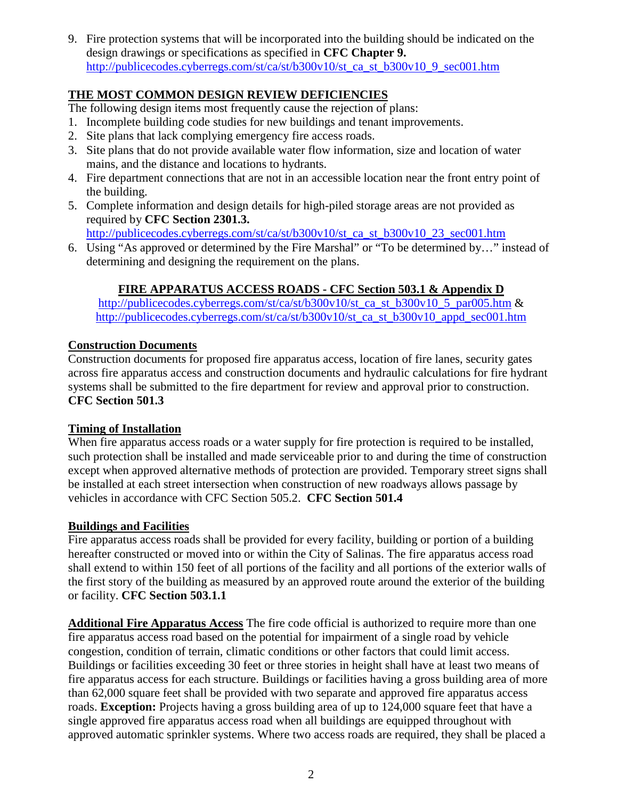9. Fire protection systems that will be incorporated into the building should be indicated on the design drawings or specifications as specified in **CFC Chapter 9.** [http://publicecodes.cyberregs.com/st/ca/st/b300v10/st\\_ca\\_st\\_b300v10\\_9\\_sec001.htm](http://publicecodes.cyberregs.com/st/ca/st/b300v10/st_ca_st_b300v10_9_sec001.htm)

# **THE MOST COMMON DESIGN REVIEW DEFICIENCIES**

The following design items most frequently cause the rejection of plans:

- 1. Incomplete building code studies for new buildings and tenant improvements.
- 2. Site plans that lack complying emergency fire access roads.
- 3. Site plans that do not provide available water flow information, size and location of water mains, and the distance and locations to hydrants.
- 4. Fire department connections that are not in an accessible location near the front entry point of the building.
- 5. Complete information and design details for high-piled storage areas are not provided as required by **CFC Section 2301.3.**

[http://publicecodes.cyberregs.com/st/ca/st/b300v10/st\\_ca\\_st\\_b300v10\\_23\\_sec001.htm](http://publicecodes.cyberregs.com/st/ca/st/b300v10/st_ca_st_b300v10_23_sec001.htm)

6. Using "As approved or determined by the Fire Marshal" or "To be determined by…" instead of determining and designing the requirement on the plans.

# **FIRE APPARATUS ACCESS ROADS - CFC Section 503.1 & Appendix D**

[http://publicecodes.cyberregs.com/st/ca/st/b300v10/st\\_ca\\_st\\_b300v10\\_5\\_par005.htm](http://publicecodes.cyberregs.com/st/ca/st/b300v10/st_ca_st_b300v10_5_par005.htm) & [http://publicecodes.cyberregs.com/st/ca/st/b300v10/st\\_ca\\_st\\_b300v10\\_appd\\_sec001.htm](http://publicecodes.cyberregs.com/st/ca/st/b300v10/st_ca_st_b300v10_appd_sec001.htm)

### **Construction Documents**

Construction documents for proposed fire apparatus access, location of fire lanes, security gates across fire apparatus access and construction documents and hydraulic calculations for fire hydrant systems shall be submitted to the fire department for review and approval prior to construction. **CFC Section 501.3** 

### **Timing of Installation**

When fire apparatus access roads or a water supply for fire protection is required to be installed, such protection shall be installed and made serviceable prior to and during the time of construction except when approved alternative methods of protection are provided. Temporary street signs shall be installed at each street intersection when construction of new roadways allows passage by vehicles in accordance with CFC Section 505.2. **CFC Section 501.4** 

### **Buildings and Facilities**

Fire apparatus access roads shall be provided for every facility, building or portion of a building hereafter constructed or moved into or within the City of Salinas. The fire apparatus access road shall extend to within 150 feet of all portions of the facility and all portions of the exterior walls of the first story of the building as measured by an approved route around the exterior of the building or facility. **CFC Section 503.1.1**

**Additional Fire Apparatus Access** The fire code official is authorized to require more than one fire apparatus access road based on the potential for impairment of a single road by vehicle congestion, condition of terrain, climatic conditions or other factors that could limit access. Buildings or facilities exceeding 30 feet or three stories in height shall have at least two means of fire apparatus access for each structure. Buildings or facilities having a gross building area of more than 62,000 square feet shall be provided with two separate and approved fire apparatus access roads. **Exception:** Projects having a gross building area of up to 124,000 square feet that have a single approved fire apparatus access road when all buildings are equipped throughout with approved automatic sprinkler systems. Where two access roads are required, they shall be placed a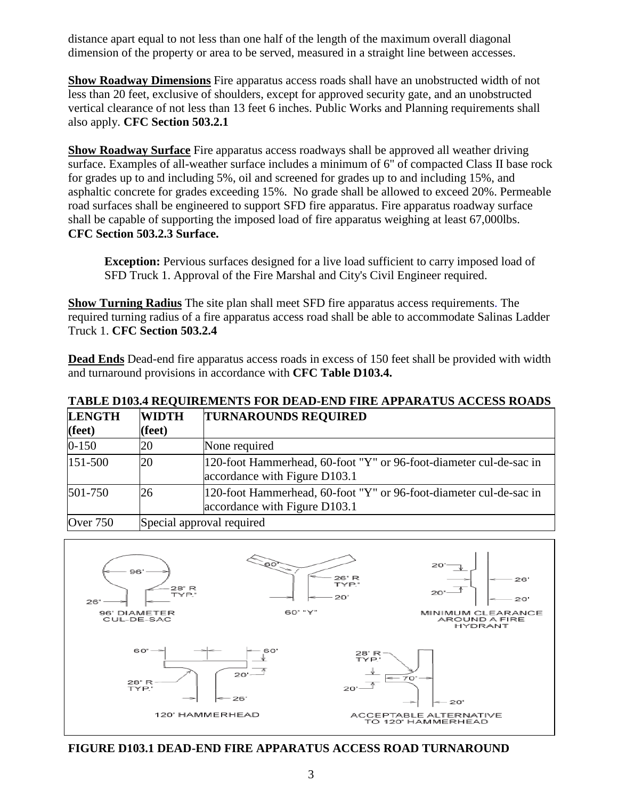distance apart equal to not less than one half of the length of the maximum overall diagonal dimension of the property or area to be served, measured in a straight line between accesses.

**Show Roadway Dimensions** Fire apparatus access roads shall have an unobstructed width of not less than 20 feet, exclusive of shoulders, except for approved security gate, and an unobstructed vertical clearance of not less than 13 feet 6 inches. Public Works and Planning requirements shall also apply. **CFC Section 503.2.1** 

**Show Roadway Surface** Fire apparatus access roadways shall be approved all weather driving surface. Examples of all-weather surface includes a minimum of 6" of compacted Class II base rock for grades up to and including 5%, oil and screened for grades up to and including 15%, and asphaltic concrete for grades exceeding 15%. No grade shall be allowed to exceed 20%. Permeable road surfaces shall be engineered to support SFD fire apparatus. Fire apparatus roadway surface shall be capable of supporting the imposed load of fire apparatus weighing at least 67,000lbs. **CFC Section 503.2.3 Surface.**

**Exception:** Pervious surfaces designed for a live load sufficient to carry imposed load of SFD Truck 1. Approval of the Fire Marshal and City's Civil Engineer required.

**Show Turning Radius** The site plan shall meet SFD fire apparatus access requirements. The required turning radius of a fire apparatus access road shall be able to accommodate Salinas Ladder Truck 1. **CFC Section 503.2.4**

**Dead Ends** Dead-end fire apparatus access roads in excess of 150 feet shall be provided with width and turnaround provisions in accordance with **CFC Table D103.4.**

# **TABLE D103.4 REQUIREMENTS FOR DEAD-END FIRE APPARATUS ACCESS ROADS**

| <b>LENGTH</b>   | <b>WIDTH</b>              | <b>TURNAROUNDS REQUIRED</b>                                                                         |  |
|-----------------|---------------------------|-----------------------------------------------------------------------------------------------------|--|
| $(\text{feet})$ | (feet)                    |                                                                                                     |  |
| $0 - 150$       | 20                        | None required                                                                                       |  |
| 151-500         | 20                        | 120-foot Hammerhead, 60-foot "Y" or 96-foot-diameter cul-de-sac in<br>accordance with Figure D103.1 |  |
| 501-750         | 26                        | 120-foot Hammerhead, 60-foot "Y" or 96-foot-diameter cul-de-sac in<br>accordance with Figure D103.1 |  |
| <b>Over 750</b> | Special approval required |                                                                                                     |  |



**FIGURE D103.1 DEAD-END FIRE APPARATUS ACCESS ROAD TURNAROUND**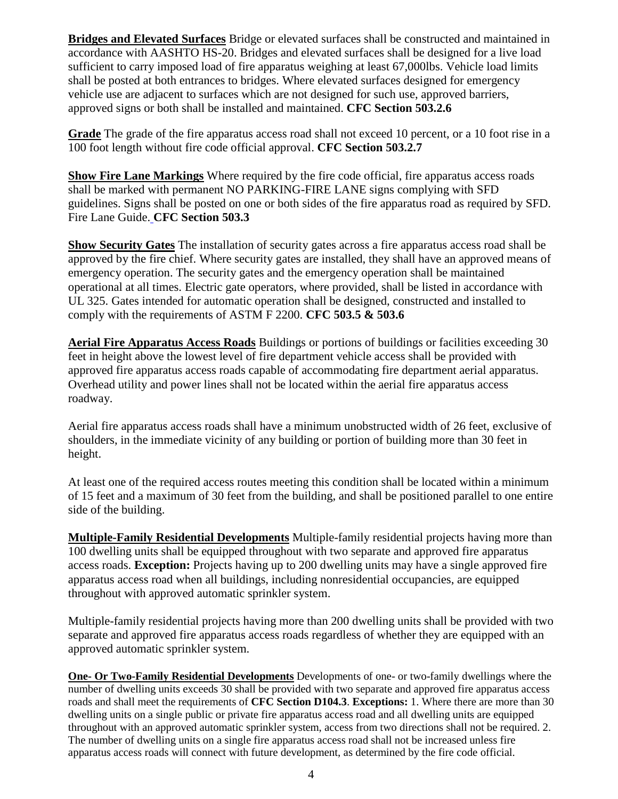**Bridges and Elevated Surfaces** Bridge or elevated surfaces shall be constructed and maintained in accordance with AASHTO HS-20. Bridges and elevated surfaces shall be designed for a live load sufficient to carry imposed load of fire apparatus weighing at least 67,000lbs. Vehicle load limits shall be posted at both entrances to bridges. Where elevated surfaces designed for emergency vehicle use are adjacent to surfaces which are not designed for such use, approved barriers, approved signs or both shall be installed and maintained. **CFC Section 503.2.6**

**Grade** The grade of the fire apparatus access road shall not exceed 10 percent, or a 10 foot rise in a 100 foot length without fire code official approval. **CFC Section 503.2.7**

**Show Fire Lane Markings** Where required by the fire code official, fire apparatus access roads shall be marked with permanent NO PARKING-FIRE LANE signs complying with SFD guidelines. Signs shall be posted on one or both sides of the fire apparatus road as required by SFD. Fire Lane Guide. **CFC Section 503.3**

**Show Security Gates** The installation of security gates across a fire apparatus access road shall be approved by the fire chief. Where security gates are installed, they shall have an approved means of emergency operation. The security gates and the emergency operation shall be maintained operational at all times. Electric gate operators, where provided, shall be listed in accordance with UL 325. Gates intended for automatic operation shall be designed, constructed and installed to comply with the requirements of ASTM F 2200. **CFC 503.5 & 503.6**

**Aerial Fire Apparatus Access Roads** Buildings or portions of buildings or facilities exceeding 30 feet in height above the lowest level of fire department vehicle access shall be provided with approved fire apparatus access roads capable of accommodating fire department aerial apparatus. Overhead utility and power lines shall not be located within the aerial fire apparatus access roadway.

Aerial fire apparatus access roads shall have a minimum unobstructed width of 26 feet, exclusive of shoulders, in the immediate vicinity of any building or portion of building more than 30 feet in height.

At least one of the required access routes meeting this condition shall be located within a minimum of 15 feet and a maximum of 30 feet from the building, and shall be positioned parallel to one entire side of the building.

**Multiple-Family Residential Developments** Multiple-family residential projects having more than 100 dwelling units shall be equipped throughout with two separate and approved fire apparatus access roads. **Exception:** Projects having up to 200 dwelling units may have a single approved fire apparatus access road when all buildings, including nonresidential occupancies, are equipped throughout with approved automatic sprinkler system.

Multiple-family residential projects having more than 200 dwelling units shall be provided with two separate and approved fire apparatus access roads regardless of whether they are equipped with an approved automatic sprinkler system.

**One- Or Two-Family Residential Developments** Developments of one- or two-family dwellings where the number of dwelling units exceeds 30 shall be provided with two separate and approved fire apparatus access roads and shall meet the requirements of **CFC Section D104.3**. **Exceptions:** 1. Where there are more than 30 dwelling units on a single public or private fire apparatus access road and all dwelling units are equipped throughout with an approved automatic sprinkler system, access from two directions shall not be required. 2. The number of dwelling units on a single fire apparatus access road shall not be increased unless fire apparatus access roads will connect with future development, as determined by the fire code official.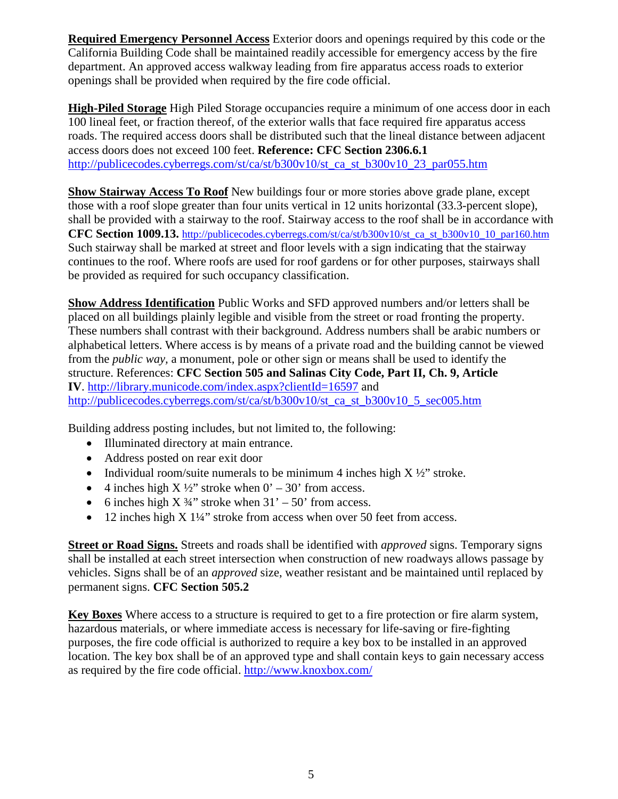**Required Emergency Personnel Access** Exterior doors and openings required by this code or the California Building Code shall be maintained readily accessible for emergency access by the fire department. An approved access walkway leading from fire apparatus access roads to exterior openings shall be provided when required by the fire code official.

**High-Piled Storage** High Piled Storage occupancies require a minimum of one access door in each 100 lineal feet, or fraction thereof, of the exterior walls that face required fire apparatus access roads. The required access doors shall be distributed such that the lineal distance between adjacent access doors does not exceed 100 feet. **Reference: CFC Section 2306.6.1** [http://publicecodes.cyberregs.com/st/ca/st/b300v10/st\\_ca\\_st\\_b300v10\\_23\\_par055.htm](http://publicecodes.cyberregs.com/st/ca/st/b300v10/st_ca_st_b300v10_23_par055.htm)

**Show Stairway Access To Roof** New buildings four or more stories above grade plane, except those with a roof slope greater than four units vertical in 12 units horizontal (33.3-percent slope), shall be provided with a stairway to the roof. Stairway access to the roof shall be in accordance with **CFC** [Section 1009.13.](javascript:Next() [http://publicecodes.cyberregs.com/st/ca/st/b300v10/st\\_ca\\_st\\_b300v10\\_10\\_par160.htm](http://publicecodes.cyberregs.com/st/ca/st/b300v10/st_ca_st_b300v10_10_par160.htm) Such stairway shall be marked at street and floor levels with a sign indicating that the stairway continues to the roof. Where roofs are used for roof gardens or for other purposes, stairways shall be provided as required for such occupancy classification.

**Show Address Identification** Public Works and SFD approved numbers and/or letters shall be placed on all buildings plainly legible and visible from the street or road fronting the property. These numbers shall contrast with their background. Address numbers shall be arabic numbers or alphabetical letters. Where access is by means of a private road and the building cannot be viewed from the *public way,* a monument, pole or other sign or means shall be used to identify the structure. References: **CFC Section 505 and Salinas City Code, Part II, Ch. 9, Article IV**. [http://library.municode.com/index.aspx?clientId=16597](http://library.municode.com/index.aspx?clientId=16597%20) and [http://publicecodes.cyberregs.com/st/ca/st/b300v10/st\\_ca\\_st\\_b300v10\\_5\\_sec005.htm](http://publicecodes.cyberregs.com/st/ca/st/b300v10/st_ca_st_b300v10_5_sec005.htm)

Building address posting includes, but not limited to, the following:

- Illuminated directory at main entrance.
- Address posted on rear exit door
- Individual room/suite numerals to be minimum 4 inches high  $X \frac{1}{2}$  stroke.
- 4 inches high  $X \frac{1}{2}$  stroke when  $0' 30'$  from access.
- 6 inches high  $X \frac{3}{4}$ " stroke when  $31' 50'$  from access.
- 12 inches high X 1¼" stroke from access when over 50 feet from access.

**Street or Road Signs.** Streets and roads shall be identified with *approved* signs. Temporary signs shall be installed at each street intersection when construction of new roadways allows passage by vehicles. Signs shall be of an *approved* size, weather resistant and be maintained until replaced by permanent signs. **CFC Section 505.2**

**Key Boxes** Where access to a structure is required to get to a fire protection or fire alarm system, hazardous materials, or where immediate access is necessary for life-saving or fire-fighting purposes, the fire code official is authorized to require a key box to be installed in an approved location. The key box shall be of an approved type and shall contain keys to gain necessary access as required by the fire code official. <http://www.knoxbox.com/>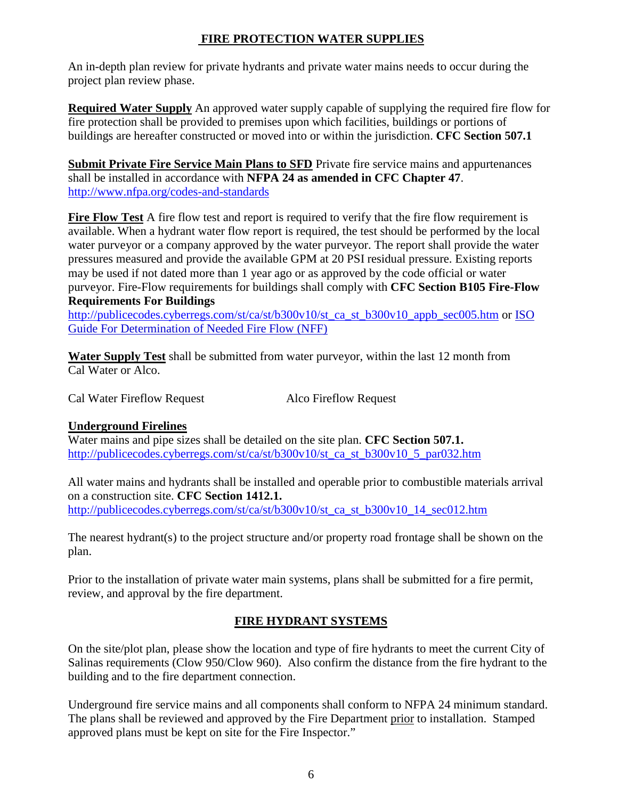#### **FIRE PROTECTION WATER SUPPLIES**

An in-depth plan review for private hydrants and private water mains needs to occur during the project plan review phase.

**Required Water Supply** An approved water supply capable of supplying the required fire flow for fire protection shall be provided to premises upon which facilities, buildings or portions of buildings are hereafter constructed or moved into or within the jurisdiction. **CFC Section 507.1**

**Submit Private Fire Service Main Plans to SFD** Private fire service mains and appurtenances shall be installed in accordance with **NFPA 24 as amended in CFC [Chapter 47](javascript:Next()**. <http://www.nfpa.org/codes-and-standards>

**Fire Flow Test** A fire flow test and report is required to verify that the fire flow requirement is available. When a hydrant water flow report is required, the test should be performed by the local water purveyor or a company approved by the water purveyor. The report shall provide the water pressures measured and provide the available GPM at 20 PSI residual pressure. Existing reports may be used if not dated more than 1 year ago or as approved by the code official or water purveyor. Fire-Flow requirements for buildings shall comply with **CFC Section B105 Fire-Flow Requirements For Buildings**

[http://publicecodes.cyberregs.com/st/ca/st/b300v10/st\\_ca\\_st\\_b300v10\\_appb\\_sec005.htm](http://publicecodes.cyberregs.com/st/ca/st/b300v10/st_ca_st_b300v10_appb_sec005.htm) or ISO [Guide For Determination of Needed Fire Flow \(NFF\)](http://www.isomitigation.com/downloads/ppc3001.pdf)

**Water Supply Test** shall be submitted from water purveyor, within the last 12 month from Cal Water or Alco.

Cal Water Fireflow Request Alco Fireflow Request

### **Underground Firelines**

Water mains and pipe sizes shall be detailed on the site plan. **CFC Section 507.1.** [http://publicecodes.cyberregs.com/st/ca/st/b300v10/st\\_ca\\_st\\_b300v10\\_5\\_par032.htm](http://publicecodes.cyberregs.com/st/ca/st/b300v10/st_ca_st_b300v10_5_par032.htm)

All water mains and hydrants shall be installed and operable prior to combustible materials arrival on a construction site. **CFC Section 1412.1.** [http://publicecodes.cyberregs.com/st/ca/st/b300v10/st\\_ca\\_st\\_b300v10\\_14\\_sec012.htm](http://publicecodes.cyberregs.com/st/ca/st/b300v10/st_ca_st_b300v10_14_sec012.htm)

The nearest hydrant(s) to the project structure and/or property road frontage shall be shown on the plan.

Prior to the installation of private water main systems, plans shall be submitted for a fire permit, review, and approval by the fire department.

# **FIRE HYDRANT SYSTEMS**

On the site/plot plan, please show the location and type of fire hydrants to meet the current City of Salinas requirements (Clow 950/Clow 960). Also confirm the distance from the fire hydrant to the building and to the fire department connection.

Underground fire service mains and all components shall conform to NFPA 24 minimum standard. The plans shall be reviewed and approved by the Fire Department prior to installation. Stamped approved plans must be kept on site for the Fire Inspector."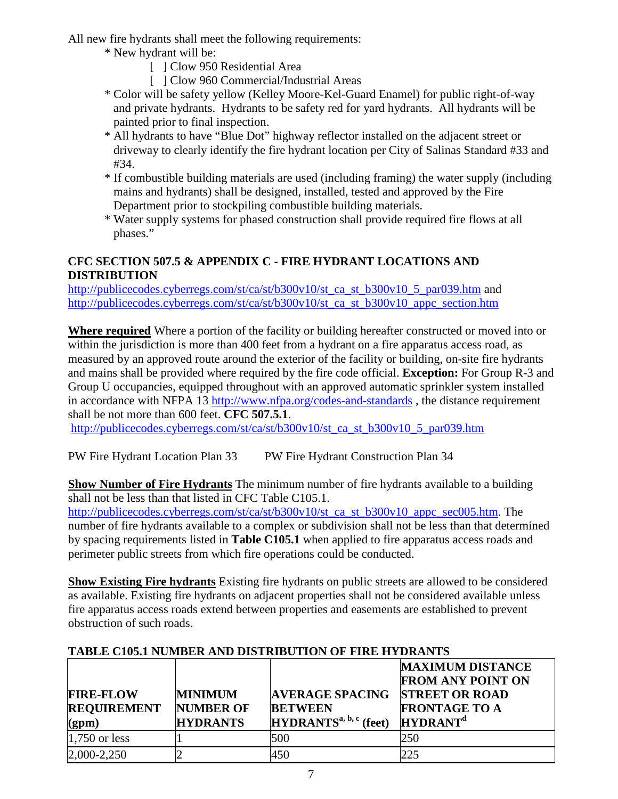All new fire hydrants shall meet the following requirements:

- \* New hydrant will be:
	- [ ] Clow 950 Residential Area
	- [ ] Clow 960 Commercial/Industrial Areas
- \* Color will be safety yellow (Kelley Moore-Kel-Guard Enamel) for public right-of-way and private hydrants. Hydrants to be safety red for yard hydrants. All hydrants will be painted prior to final inspection.
- \* All hydrants to have "Blue Dot" highway reflector installed on the adjacent street or driveway to clearly identify the fire hydrant location per City of Salinas Standard #33 and #34.
- \* If combustible building materials are used (including framing) the water supply (including mains and hydrants) shall be designed, installed, tested and approved by the Fire Department prior to stockpiling combustible building materials.
- \* Water supply systems for phased construction shall provide required fire flows at all phases."

# **CFC SECTION 507.5 & APPENDIX C - FIRE HYDRANT LOCATIONS AND DISTRIBUTION**

[http://publicecodes.cyberregs.com/st/ca/st/b300v10/st\\_ca\\_st\\_b300v10\\_5\\_par039.htm](http://publicecodes.cyberregs.com/st/ca/st/b300v10/st_ca_st_b300v10_5_par039.htm) and [http://publicecodes.cyberregs.com/st/ca/st/b300v10/st\\_ca\\_st\\_b300v10\\_appc\\_section.htm](http://publicecodes.cyberregs.com/st/ca/st/b300v10/st_ca_st_b300v10_appc_section.htm)

**Where required** Where a portion of the facility or building hereafter constructed or moved into or within the jurisdiction is more than 400 feet from a hydrant on a fire apparatus access road, as measured by an approved route around the exterior of the facility or building, on-site fire hydrants and mains shall be provided where required by the fire code official. **Exception:** For Group R-3 and Group U occupancies, equipped throughout with an approved automatic sprinkler system installed in accordance with NFPA 13<http://www.nfpa.org/codes-and-standards>, the distance requirement shall be not more than 600 feet. **CFC 507.5.1**.

[http://publicecodes.cyberregs.com/st/ca/st/b300v10/st\\_ca\\_st\\_b300v10\\_5\\_par039.htm](http://publicecodes.cyberregs.com/st/ca/st/b300v10/st_ca_st_b300v10_5_par039.htm)

PW Fire Hydrant Location Plan 33 PW Fire Hydrant Construction Plan 34

**Show Number of Fire Hydrants** The minimum number of fire hydrants available to a building shall not be less than that listed in CFC Table C105.1.

[http://publicecodes.cyberregs.com/st/ca/st/b300v10/st\\_ca\\_st\\_b300v10\\_appc\\_sec005.htm.](http://publicecodes.cyberregs.com/st/ca/st/b300v10/st_ca_st_b300v10_appc_sec005.htm) The number of fire hydrants available to a complex or subdivision shall not be less than that determined by spacing requirements listed in **Table C105.1** when applied to fire apparatus access roads and perimeter public streets from which fire operations could be conducted.

**Show Existing Fire hydrants** Existing fire hydrants on public streets are allowed to be considered as available. Existing fire hydrants on adjacent properties shall not be considered available unless fire apparatus access roads extend between properties and easements are established to prevent obstruction of such roads.

| THREE CLWIL RUBBER HOP RELIGIOUS OF FRIE HIM HIS INDIA |                  |                                    |                                                     |  |  |  |  |  |
|--------------------------------------------------------|------------------|------------------------------------|-----------------------------------------------------|--|--|--|--|--|
|                                                        |                  |                                    | <b>MAXIMUM DISTANCE</b><br><b>FROM ANY POINT ON</b> |  |  |  |  |  |
| <b>FIRE-FLOW</b>                                       | <b>MINIMUM</b>   | <b>AVERAGE SPACING</b>             | <b>STREET OR ROAD</b>                               |  |  |  |  |  |
| <b>REQUIREMENT</b>                                     | <b>NUMBER OF</b> | <b>BETWEEN</b>                     | <b>FRONTAGE TO A</b>                                |  |  |  |  |  |
| (gpm)                                                  | <b>HYDRANTS</b>  | HYDRANTS <sup>a, b, c</sup> (feet) | HYDRANT <sup>d</sup>                                |  |  |  |  |  |
| $1,750$ or less                                        |                  | 500                                | 250                                                 |  |  |  |  |  |
| 2,000-2,250                                            |                  | 450                                | 225                                                 |  |  |  |  |  |

# **TABLE C105.1 NUMBER AND DISTRIBUTION OF FIRE HYDRANTS**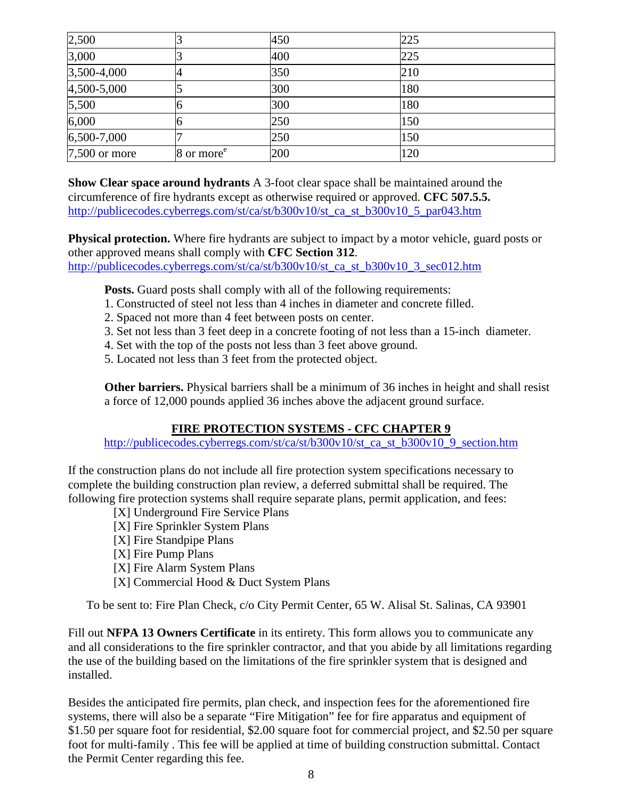| 2,500           |                        | 450 | 225 |  |
|-----------------|------------------------|-----|-----|--|
| 3,000           |                        | 400 | 225 |  |
| 3,500-4,000     | 4                      | 350 | 210 |  |
| 4,500-5,000     |                        | 300 | 180 |  |
| 5,500           | O                      | 300 | 180 |  |
| 6,000           | O                      | 250 | 150 |  |
| 6,500-7,000     |                        | 250 | 150 |  |
| $7,500$ or more | 8 or more <sup>e</sup> | 200 | 120 |  |

**Show Clear space around hydrants** A 3-foot clear space shall be maintained around the circumference of fire hydrants except as otherwise required or approved. **CFC 507.5.5.**  [http://publicecodes.cyberregs.com/st/ca/st/b300v10/st\\_ca\\_st\\_b300v10\\_5\\_par043.htm](http://publicecodes.cyberregs.com/st/ca/st/b300v10/st_ca_st_b300v10_5_par043.htm)

**Physical protection.** Where fire hydrants are subject to impact by a motor vehicle, guard posts or other approved means shall comply with **CFC [Section 312](javascript:Next()**. [http://publicecodes.cyberregs.com/st/ca/st/b300v10/st\\_ca\\_st\\_b300v10\\_3\\_sec012.htm](http://publicecodes.cyberregs.com/st/ca/st/b300v10/st_ca_st_b300v10_3_sec012.htm)

**Posts.** Guard posts shall comply with all of the following requirements:

- 1. Constructed of steel not less than 4 inches in diameter and concrete filled.
- 2. Spaced not more than 4 feet between posts on center.
- 3. Set not less than 3 feet deep in a concrete footing of not less than a 15-inch diameter.
- 4. Set with the top of the posts not less than 3 feet above ground.
- 5. Located not less than 3 feet from the protected object.

**Other barriers.** Physical barriers shall be a minimum of 36 inches in height and shall resist a force of 12,000 pounds applied 36 inches above the adjacent ground surface.

### **FIRE PROTECTION SYSTEMS - CFC CHAPTER 9**

[http://publicecodes.cyberregs.com/st/ca/st/b300v10/st\\_ca\\_st\\_b300v10\\_9\\_section.htm](http://publicecodes.cyberregs.com/st/ca/st/b300v10/st_ca_st_b300v10_9_section.htm)

If the construction plans do not include all fire protection system specifications necessary to complete the building construction plan review, a deferred submittal shall be required. The following fire protection systems shall require separate plans, permit application, and fees:

- [X] Underground Fire Service Plans
- [X] Fire Sprinkler System Plans
- [X] Fire Standpipe Plans
- [X] Fire Pump Plans
- [X] Fire Alarm System Plans
- [X] Commercial Hood & Duct System Plans

To be sent to: Fire Plan Check, c/o City Permit Center, 65 W. Alisal St. Salinas, CA 93901

Fill out **NFPA 13 Owners Certificate** in its entirety. This form allows you to communicate any and all considerations to the fire sprinkler contractor, and that you abide by all limitations regarding the use of the building based on the limitations of the fire sprinkler system that is designed and installed.

Besides the anticipated fire permits, plan check, and inspection fees for the aforementioned fire systems, there will also be a separate "Fire Mitigation" fee for fire apparatus and equipment of \$1.50 per square foot for residential, \$2.00 square foot for commercial project, and \$2.50 per square foot for multi-family . This fee will be applied at time of building construction submittal. Contact the Permit Center regarding this fee.